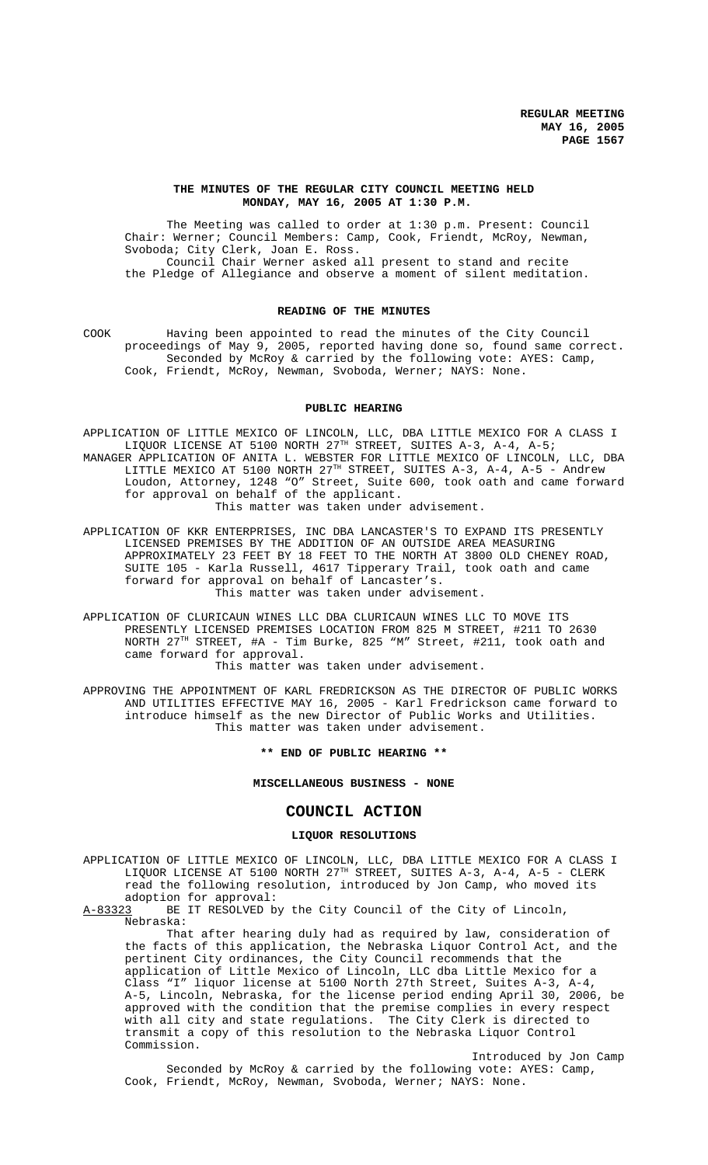# **THE MINUTES OF THE REGULAR CITY COUNCIL MEETING HELD MONDAY, MAY 16, 2005 AT 1:30 P.M.**

The Meeting was called to order at 1:30 p.m. Present: Council Chair: Werner; Council Members: Camp, Cook, Friendt, McRoy, Newman, Svoboda; City Clerk, Joan E. Ross. Council Chair Werner asked all present to stand and recite the Pledge of Allegiance and observe a moment of silent meditation.

# **READING OF THE MINUTES**

COOK Having been appointed to read the minutes of the City Council proceedings of May 9, 2005, reported having done so, found same correct. Seconded by McRoy & carried by the following vote: AYES: Camp, Cook, Friendt, McRoy, Newman, Svoboda, Werner; NAYS: None.

### **PUBLIC HEARING**

APPLICATION OF LITTLE MEXICO OF LINCOLN, LLC, DBA LITTLE MEXICO FOR A CLASS I LIQUOR LICENSE AT 5100 NORTH 27TH STREET, SUITES A-3, A-4, A-5; MANAGER APPLICATION OF ANITA L. WEBSTER FOR LITTLE MEXICO OF LINCOLN, LLC, DBA LITTLE MEXICO AT 5100 NORTH  $27^{TH}$  STREET, SUITES A-3, A-4, A-5 - Andrew Loudon, Attorney, 1248 "O" Street, Suite 600, took oath and came forward for approval on behalf of the applicant. This matter was taken under advisement.

APPLICATION OF KKR ENTERPRISES, INC DBA LANCASTER'S TO EXPAND ITS PRESENTLY LICENSED PREMISES BY THE ADDITION OF AN OUTSIDE AREA MEASURING APPROXIMATELY 23 FEET BY 18 FEET TO THE NORTH AT 3800 OLD CHENEY ROAD, SUITE 105 - Karla Russell, 4617 Tipperary Trail, took oath and came forward for approval on behalf of Lancaster's. This matter was taken under advisement.

APPLICATION OF CLURICAUN WINES LLC DBA CLURICAUN WINES LLC TO MOVE ITS PRESENTLY LICENSED PREMISES LOCATION FROM 825 M STREET, #211 TO 2630 NORTH 27TH STREET, #A - Tim Burke, 825 "M" Street, #211, took oath and came forward for approval.

This matter was taken under advisement.

APPROVING THE APPOINTMENT OF KARL FREDRICKSON AS THE DIRECTOR OF PUBLIC WORKS AND UTILITIES EFFECTIVE MAY 16, 2005 - Karl Fredrickson came forward to introduce himself as the new Director of Public Works and Utilities. This matter was taken under advisement.

**\*\* END OF PUBLIC HEARING \*\***

**MISCELLANEOUS BUSINESS - NONE**

# **COUNCIL ACTION**

# **LIQUOR RESOLUTIONS**

APPLICATION OF LITTLE MEXICO OF LINCOLN, LLC, DBA LITTLE MEXICO FOR A CLASS I LIQUOR LICENSE AT 5100 NORTH 27<sup>TH</sup> STREET, SUITES A-3, A-4, A-5 - CLERK read the following resolution, introduced by Jon Camp, who moved its adoption for approval:<br>A-83323 BE IT RESOLVED b

BE IT RESOLVED by the City Council of the City of Lincoln, Nebraska:

That after hearing duly had as required by law, consideration of the facts of this application, the Nebraska Liquor Control Act, and the pertinent City ordinances, the City Council recommends that the application of Little Mexico of Lincoln, LLC dba Little Mexico for a Class "I" liquor license at 5100 North 27th Street, Suites A-3, A-4, A-5, Lincoln, Nebraska, for the license period ending April 30, 2006, be approved with the condition that the premise complies in every respect with all city and state regulations. The City Clerk is directed to transmit a copy of this resolution to the Nebraska Liquor Control Commission.

Introduced by Jon Camp Seconded by McRoy & carried by the following vote: AYES: Camp, Cook, Friendt, McRoy, Newman, Svoboda, Werner; NAYS: None.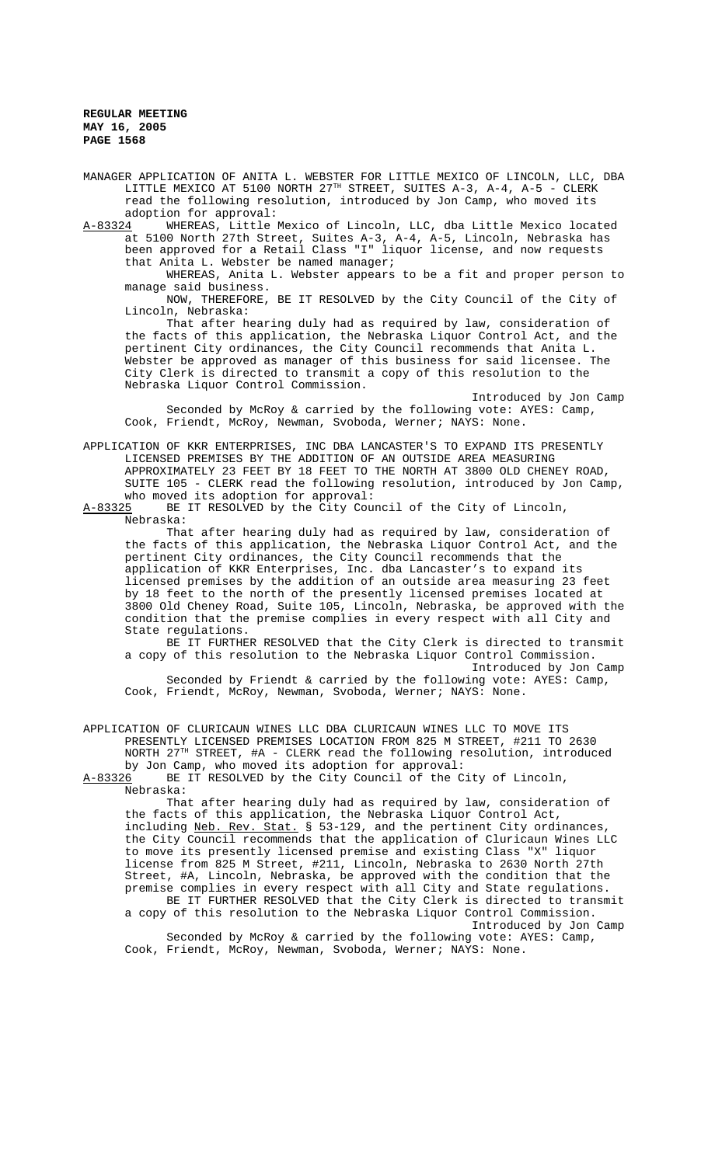MANAGER APPLICATION OF ANITA L. WEBSTER FOR LITTLE MEXICO OF LINCOLN, LLC, DBA LITTLE MEXICO AT 5100 NORTH 27<sup>TH</sup> STREET, SUITES A-3, A-4, A-5 - CLERK read the following resolution, introduced by Jon Camp, who moved its adoption for approval:<br>A-83324 MHEREAS, Little

A-83324 WHEREAS, Little Mexico of Lincoln, LLC, dba Little Mexico located at 5100 North 27th Street, Suites A-3, A-4, A-5, Lincoln, Nebraska has been approved for a Retail Class "I" liquor license, and now requests that Anita L. Webster be named manager;

WHEREAS, Anita L. Webster appears to be a fit and proper person to manage said business.

NOW, THEREFORE, BE IT RESOLVED by the City Council of the City of Lincoln, Nebraska:

That after hearing duly had as required by law, consideration of the facts of this application, the Nebraska Liquor Control Act, and the pertinent City ordinances, the City Council recommends that Anita L. Webster be approved as manager of this business for said licensee. The City Clerk is directed to transmit a copy of this resolution to the Nebraska Liquor Control Commission.

Introduced by Jon Camp Seconded by McRoy & carried by the following vote: AYES: Camp, Cook, Friendt, McRoy, Newman, Svoboda, Werner; NAYS: None.

APPLICATION OF KKR ENTERPRISES, INC DBA LANCASTER'S TO EXPAND ITS PRESENTLY LICENSED PREMISES BY THE ADDITION OF AN OUTSIDE AREA MEASURING APPROXIMATELY 23 FEET BY 18 FEET TO THE NORTH AT 3800 OLD CHENEY ROAD, SUITE 105 - CLERK read the following resolution, introduced by Jon Camp, who moved its adoption for approval:<br>A-83325 BE IT RESOLVED by the City Cou

BE IT RESOLVED by the City Council of the City of Lincoln, Nebraska:

That after hearing duly had as required by law, consideration of the facts of this application, the Nebraska Liquor Control Act, and the pertinent City ordinances, the City Council recommends that the application of KKR Enterprises, Inc. dba Lancaster's to expand its licensed premises by the addition of an outside area measuring 23 feet by 18 feet to the north of the presently licensed premises located at 3800 Old Cheney Road, Suite 105, Lincoln, Nebraska, be approved with the condition that the premise complies in every respect with all City and State regulations.

BE IT FURTHER RESOLVED that the City Clerk is directed to transmit a copy of this resolution to the Nebraska Liquor Control Commission. Introduced by Jon Camp

Seconded by Friendt & carried by the following vote: AYES: Camp, Cook, Friendt, McRoy, Newman, Svoboda, Werner; NAYS: None.

APPLICATION OF CLURICAUN WINES LLC DBA CLURICAUN WINES LLC TO MOVE ITS PRESENTLY LICENSED PREMISES LOCATION FROM 825 M STREET, #211 TO 2630 NORTH 27TH STREET, #A - CLERK read the following resolution, introduced by Jon Camp, who moved its adoption for approval:

A-83326 BE IT RESOLVED by the City Council of the City of Lincoln,

Nebraska:

That after hearing duly had as required by law, consideration of the facts of this application, the Nebraska Liquor Control Act, including Neb. Rev. Stat. § 53-129, and the pertinent City ordinances, the City Council recommends that the application of Cluricaun Wines LLC to move its presently licensed premise and existing Class "X" liquor license from 825 M Street, #211, Lincoln, Nebraska to 2630 North 27th Street, #A, Lincoln, Nebraska, be approved with the condition that the premise complies in every respect with all City and State regulations. BE IT FURTHER RESOLVED that the City Clerk is directed to transmit a copy of this resolution to the Nebraska Liquor Control Commission.

Introduced by Jon Camp Seconded by McRoy & carried by the following vote: AYES: Camp, Cook, Friendt, McRoy, Newman, Svoboda, Werner; NAYS: None.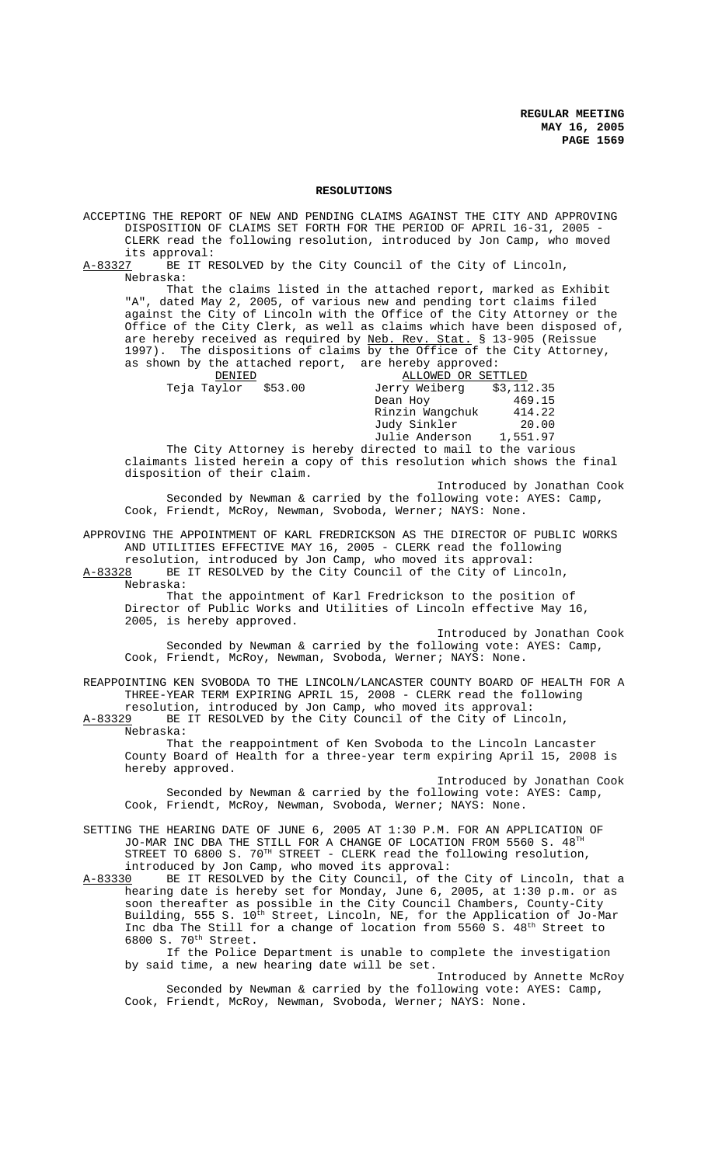## **RESOLUTIONS**

ACCEPTING THE REPORT OF NEW AND PENDING CLAIMS AGAINST THE CITY AND APPROVING DISPOSITION OF CLAIMS SET FORTH FOR THE PERIOD OF APRIL 16-31, 2005 - CLERK read the following resolution, introduced by Jon Camp, who moved its approval:<br>A-83327 BE IT R BE IT RESOLVED by the City Council of the City of Lincoln, Nebraska: That the claims listed in the attached report, marked as Exhibit "A", dated May 2, 2005, of various new and pending tort claims filed against the City of Lincoln with the Office of the City Attorney or the Office of the City Clerk, as well as claims which have been disposed of, are hereby received as required by <u>Neb. Rev. Stat.</u> § 13-905 (Reissue are hereby received as required by Neb. Rev. 1997). The dispositions of claims by the Office of the City Attorney, as shown by the attached report, are hereby approved:<br>BENIED BENIED ALLOWED OR SET DENIED<br>Teja Taylor \$53.00 Derry Weiberg \$3,112.35 Jerry Weiberg \$3,112.35<br>Dean Hov 469.15 Dean Hoy 169.15<br>Rinzin Wangchuk 414.22 Rinzin Wangchuk Judy Sinkler 20.00<br>Julie Anderson 1,551.97 Julie Anderson The City Attorney is hereby directed to mail to the various claimants listed herein a copy of this resolution which shows the final disposition of their claim. Introduced by Jonathan Cook Seconded by Newman & carried by the following vote: AYES: Camp, Cook, Friendt, McRoy, Newman, Svoboda, Werner; NAYS: None. APPROVING THE APPOINTMENT OF KARL FREDRICKSON AS THE DIRECTOR OF PUBLIC WORKS AND UTILITIES EFFECTIVE MAY 16, 2005 - CLERK read the following resolution, introduced by Jon Camp, who moved its approval:<br>A-83328 BE IT RESOLVED by the City Council of the City of Lin BE IT RESOLVED by the City Council of the City of Lincoln, Nebraska: That the appointment of Karl Fredrickson to the position of Director of Public Works and Utilities of Lincoln effective May 16, 2005, is hereby approved. Introduced by Jonathan Cook Seconded by Newman & carried by the following vote: AYES: Camp, Cook, Friendt, McRoy, Newman, Svoboda, Werner; NAYS: None. REAPPOINTING KEN SVOBODA TO THE LINCOLN/LANCASTER COUNTY BOARD OF HEALTH FOR A THREE-YEAR TERM EXPIRING APRIL 15, 2008 - CLERK read the following resolution, introduced by Jon Camp, who moved its approval: A-83329 BE IT RESOLVED by the City Council of the City of Lincoln, Nebraska: That the reappointment of Ken Svoboda to the Lincoln Lancaster County Board of Health for a three-year term expiring April 15, 2008 is hereby approved. Introduced by Jonathan Cook Seconded by Newman & carried by the following vote: AYES: Camp, Cook, Friendt, McRoy, Newman, Svoboda, Werner; NAYS: None. SETTING THE HEARING DATE OF JUNE 6, 2005 AT 1:30 P.M. FOR AN APPLICATION OF JO-MAR INC DBA THE STILL FOR A CHANGE OF LOCATION FROM 5560 S. 48TH STREET TO 6800 S.  $70^{\text{TH}}$  STREET - CLERK read the following resolution, introduced by Jon Camp, who moved its approval: A-83330 BE IT RESOLVED by the City Council, of the City of Lincoln, that a hearing date is hereby set for Monday, June 6, 2005, at 1:30 p.m. or as soon thereafter as possible in the City Council Chambers, County-City Building, 555 S.  $10^{\text{th}}$  Street, Lincoln, NE, for the Application of Jo-Mar Inc dba The Still for a change of location from 5560 S. 48<sup>th</sup> Street to 6800 S. 70th Street. If the Police Department is unable to complete the investigation by said time, a new hearing date will be set. Introduced by Annette McRoy Seconded by Newman & carried by the following vote: AYES: Camp, Cook, Friendt, McRoy, Newman, Svoboda, Werner; NAYS: None.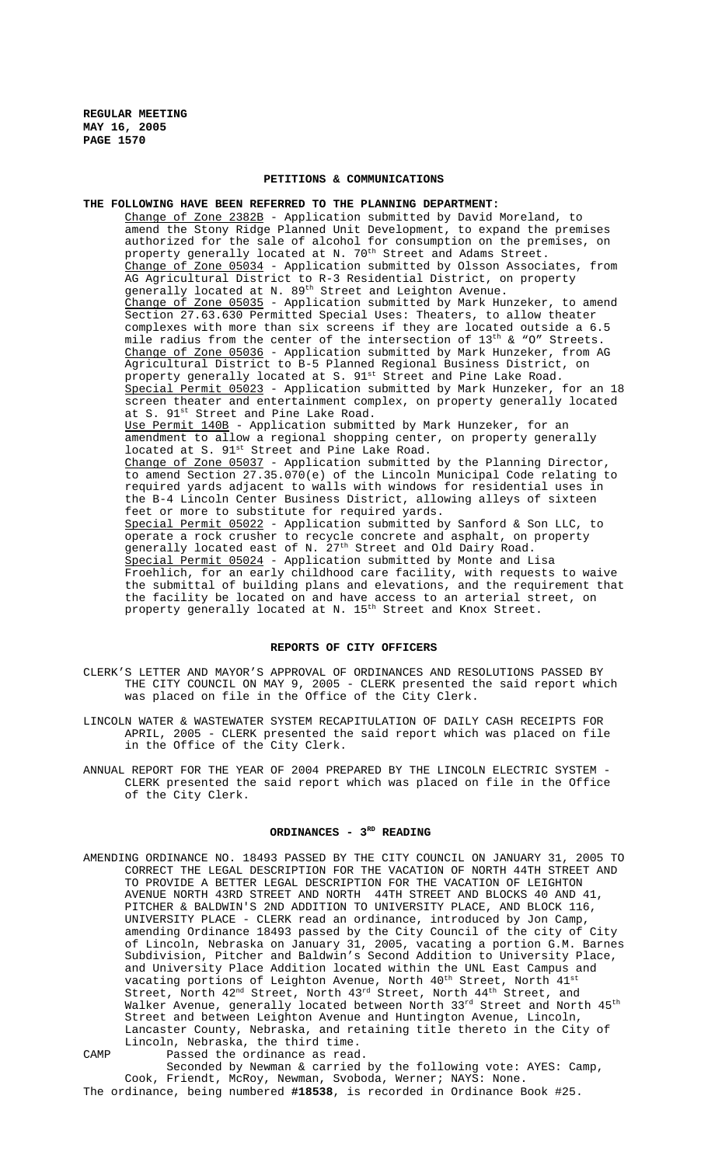# **PETITIONS & COMMUNICATIONS**

**THE FOLLOWING HAVE BEEN REFERRED TO THE PLANNING DEPARTMENT:** Change of Zone 2382B - Application submitted by David Moreland, to amend the Stony Ridge Planned Unit Development, to expand the premises authorized for the sale of alcohol for consumption on the premises, on property generally located at N.  $70^{\rm th}$  Street and Adams Street. Change of Zone 05034 - Application submitted by Olsson Associates, from AG Agricultural District to R-3 Residential District, on property generally located at N. 89<sup>th</sup> Street and Leighton Avenue. Change of Zone 05035 - Application submitted by Mark Hunzeker, to amend Section 27.63.630 Permitted Special Uses: Theaters, to allow theater complexes with more than six screens if they are located outside a 6.5 mile radius from the center of the intersection of  $13<sup>th</sup>$  & "O" Streets. Change of Zone 05036 - Application submitted by Mark Hunzeker, from AG Agricultural District to B-5 Planned Regional Business District, on property generally located at S. 91st Street and Pine Lake Road. Special Permit 05023 - Application submitted by Mark Hunzeker, for an 18 screen theater and entertainment complex, on property generally located at S. 91<sup>st</sup> Street and Pine Lake Road. Use Permit 140B - Application submitted by Mark Hunzeker, for an amendment to allow a regional shopping center, on property generally located at S. 91<sup>st</sup> Street and Pine Lake Road. Change of Zone 05037 - Application submitted by the Planning Director, to amend Section 27.35.070(e) of the Lincoln Municipal Code relating to required yards adjacent to walls with windows for residential uses in the B-4 Lincoln Center Business District, allowing alleys of sixteen feet or more to substitute for required yards. Special Permit 05022 - Application submitted by Sanford & Son LLC, to operate a rock crusher to recycle concrete and asphalt, on property generally located east of N. 27<sup>th</sup> Street and Old Dairy Road. Special Permit 05024 - Application submitted by Monte and Lisa Froehlich, for an early childhood care facility, with requests to waive the submittal of building plans and elevations, and the requirement that the facility be located on and have access to an arterial street, on property generally located at N.  $15^{\text{th}}$  Street and Knox Street.

#### **REPORTS OF CITY OFFICERS**

- CLERK'S LETTER AND MAYOR'S APPROVAL OF ORDINANCES AND RESOLUTIONS PASSED BY THE CITY COUNCIL ON MAY 9, 2005 - CLERK presented the said report which was placed on file in the Office of the City Clerk.
- LINCOLN WATER & WASTEWATER SYSTEM RECAPITULATION OF DAILY CASH RECEIPTS FOR APRIL, 2005 - CLERK presented the said report which was placed on file in the Office of the City Clerk.
- ANNUAL REPORT FOR THE YEAR OF 2004 PREPARED BY THE LINCOLN ELECTRIC SYSTEM CLERK presented the said report which was placed on file in the Office of the City Clerk.

# ORDINANCES - 3RD READING

- AMENDING ORDINANCE NO. 18493 PASSED BY THE CITY COUNCIL ON JANUARY 31, 2005 TO CORRECT THE LEGAL DESCRIPTION FOR THE VACATION OF NORTH 44TH STREET AND TO PROVIDE A BETTER LEGAL DESCRIPTION FOR THE VACATION OF LEIGHTON AVENUE NORTH 43RD STREET AND NORTH 44TH STREET AND BLOCKS 40 AND 41, PITCHER & BALDWIN'S 2ND ADDITION TO UNIVERSITY PLACE, AND BLOCK 116, UNIVERSITY PLACE - CLERK read an ordinance, introduced by Jon Camp, amending Ordinance 18493 passed by the City Council of the city of City of Lincoln, Nebraska on January 31, 2005, vacating a portion G.M. Barnes Subdivision, Pitcher and Baldwin's Second Addition to University Place, and University Place Addition located within the UNL East Campus and vacating portions of Leighton Avenue, North  $40^{\rm th}$  Street, North  $41^{\rm st}$ Street, North  $42^{\text{nd}}$  Street, North  $43^{\text{rd}}$  Street, North  $44^{\text{th}}$  Street, and Walker Avenue, generally located between North  $33^{\text{rd}}$  Street and North  $45^{\text{th}}$ Street and between Leighton Avenue and Huntington Avenue, Lincoln, Lancaster County, Nebraska, and retaining title thereto in the City of Lincoln, Nebraska, the third time.
- CAMP Passed the ordinance as read. Seconded by Newman & carried by the following vote: AYES: Camp, Cook, Friendt, McRoy, Newman, Svoboda, Werner; NAYS: None. The ordinance, being numbered **#18538**, is recorded in Ordinance Book #25.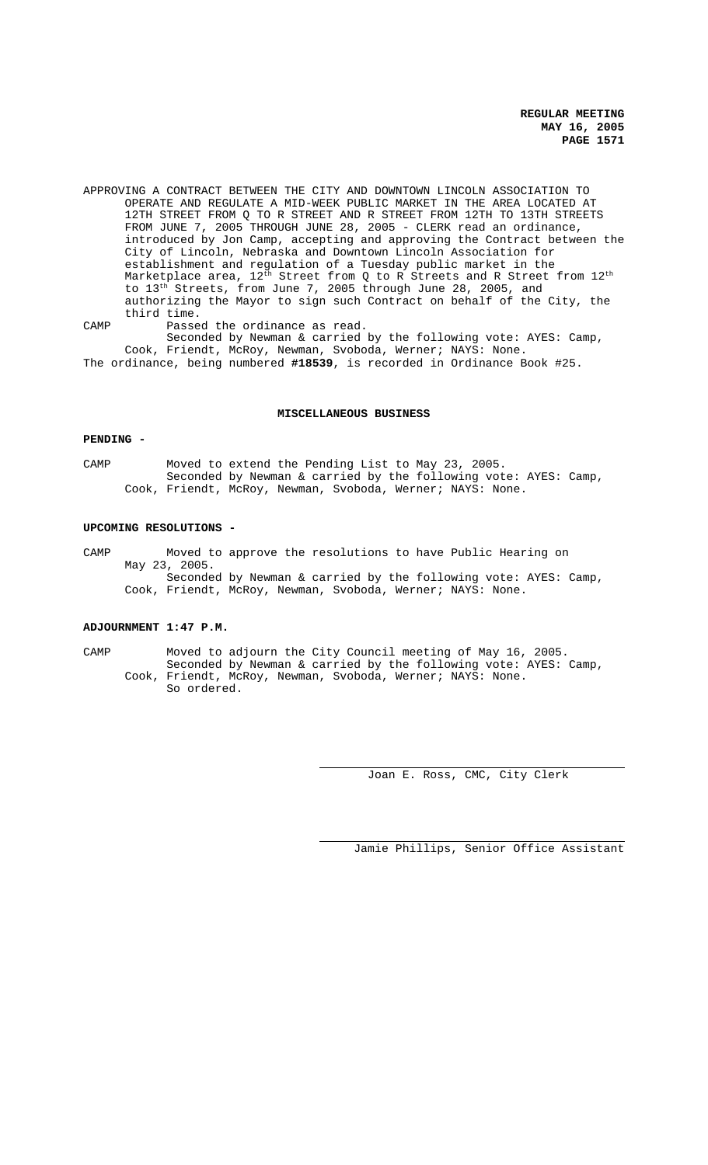APPROVING A CONTRACT BETWEEN THE CITY AND DOWNTOWN LINCOLN ASSOCIATION TO OPERATE AND REGULATE A MID-WEEK PUBLIC MARKET IN THE AREA LOCATED AT 12TH STREET FROM Q TO R STREET AND R STREET FROM 12TH TO 13TH STREETS FROM JUNE 7, 2005 THROUGH JUNE 28, 2005 - CLERK read an ordinance, introduced by Jon Camp, accepting and approving the Contract between the City of Lincoln, Nebraska and Downtown Lincoln Association for establishment and regulation of a Tuesday public market in the Marketplace area,  $12^{\text{th}}$  Street from Q to R Streets and R Street from  $12^{\text{th}}$ to 13<sup>th</sup> Streets, from June 7, 2005 through June 28, 2005, and authorizing the Mayor to sign such Contract on behalf of the City, the third time.

CAMP Passed the ordinance as read. Seconded by Newman & carried by the following vote: AYES: Camp, Cook, Friendt, McRoy, Newman, Svoboda, Werner; NAYS: None. The ordinance, being numbered **#18539**, is recorded in Ordinance Book #25.

#### **MISCELLANEOUS BUSINESS**

# **PENDING -**

CAMP Moved to extend the Pending List to May 23, 2005. Seconded by Newman & carried by the following vote: AYES: Camp, Cook, Friendt, McRoy, Newman, Svoboda, Werner; NAYS: None.

#### **UPCOMING RESOLUTIONS -**

CAMP Moved to approve the resolutions to have Public Hearing on May 23, 2005. Seconded by Newman & carried by the following vote: AYES: Camp, Cook, Friendt, McRoy, Newman, Svoboda, Werner; NAYS: None.

# **ADJOURNMENT 1:47 P.M.**

CAMP Moved to adjourn the City Council meeting of May 16, 2005. Seconded by Newman & carried by the following vote: AYES: Camp, Cook, Friendt, McRoy, Newman, Svoboda, Werner; NAYS: None. So ordered.

Joan E. Ross, CMC, City Clerk

Jamie Phillips, Senior Office Assistant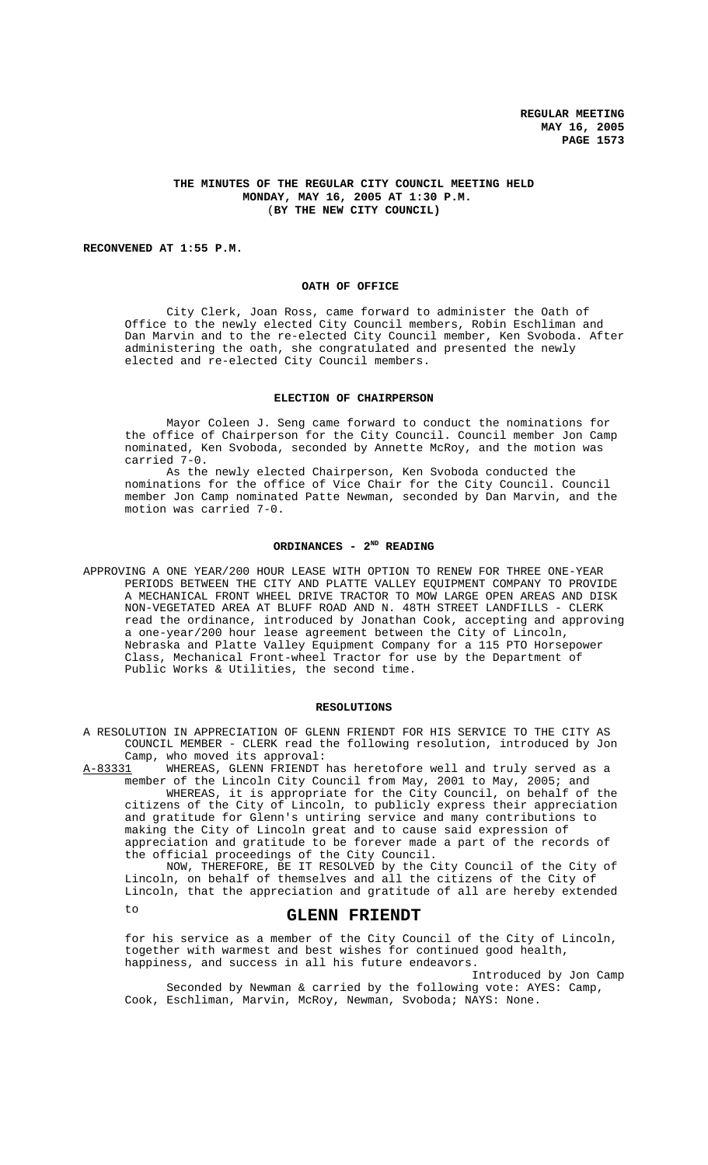# **THE MINUTES OF THE REGULAR CITY COUNCIL MEETING HELD MONDAY, MAY 16, 2005 AT 1:30 P.M.** (**BY THE NEW CITY COUNCIL)**

# **RECONVENED AT 1:55 P.M.**

#### **OATH OF OFFICE**

City Clerk, Joan Ross, came forward to administer the Oath of Office to the newly elected City Council members, Robin Eschliman and Dan Marvin and to the re-elected City Council member, Ken Svoboda. After administering the oath, she congratulated and presented the newly elected and re-elected City Council members.

#### **ELECTION OF CHAIRPERSON**

Mayor Coleen J. Seng came forward to conduct the nominations for the office of Chairperson for the City Council. Council member Jon Camp nominated, Ken Svoboda, seconded by Annette McRoy, and the motion was carried 7-0.

As the newly elected Chairperson, Ken Svoboda conducted the nominations for the office of Vice Chair for the City Council. Council member Jon Camp nominated Patte Newman, seconded by Dan Marvin, and the motion was carried 7-0.

# **ORDINANCES - 2ND READING**

APPROVING A ONE YEAR/200 HOUR LEASE WITH OPTION TO RENEW FOR THREE ONE-YEAR PERIODS BETWEEN THE CITY AND PLATTE VALLEY EQUIPMENT COMPANY TO PROVIDE A MECHANICAL FRONT WHEEL DRIVE TRACTOR TO MOW LARGE OPEN AREAS AND DISK NON-VEGETATED AREA AT BLUFF ROAD AND N. 48TH STREET LANDFILLS - CLERK read the ordinance, introduced by Jonathan Cook, accepting and approving a one-year/200 hour lease agreement between the City of Lincoln, Nebraska and Platte Valley Equipment Company for a 115 PTO Horsepower Class, Mechanical Front-wheel Tractor for use by the Department of Public Works & Utilities, the second time.

# **RESOLUTIONS**

A RESOLUTION IN APPRECIATION OF GLENN FRIENDT FOR HIS SERVICE TO THE CITY AS COUNCIL MEMBER - CLERK read the following resolution, introduced by Jon

Camp, who moved its approval:<br>A-83331 WHEREAS, GLENN FRIENDT WHEREAS, GLENN FRIENDT has heretofore well and truly served as a member of the Lincoln City Council from May, 2001 to May, 2005; and

WHEREAS, it is appropriate for the City Council, on behalf of the citizens of the City of Lincoln, to publicly express their appreciation and gratitude for Glenn's untiring service and many contributions to making the City of Lincoln great and to cause said expression of appreciation and gratitude to be forever made a part of the records of the official proceedings of the City Council.

NOW, THEREFORE, BE IT RESOLVED by the City Council of the City of Lincoln, on behalf of themselves and all the citizens of the City of Lincoln, that the appreciation and gratitude of all are hereby extended

# to **GLENN FRIENDT**

for his service as a member of the City Council of the City of Lincoln, together with warmest and best wishes for continued good health, happiness, and success in all his future endeavors.

Introduced by Jon Camp Seconded by Newman & carried by the following vote: AYES: Camp, Cook, Eschliman, Marvin, McRoy, Newman, Svoboda; NAYS: None.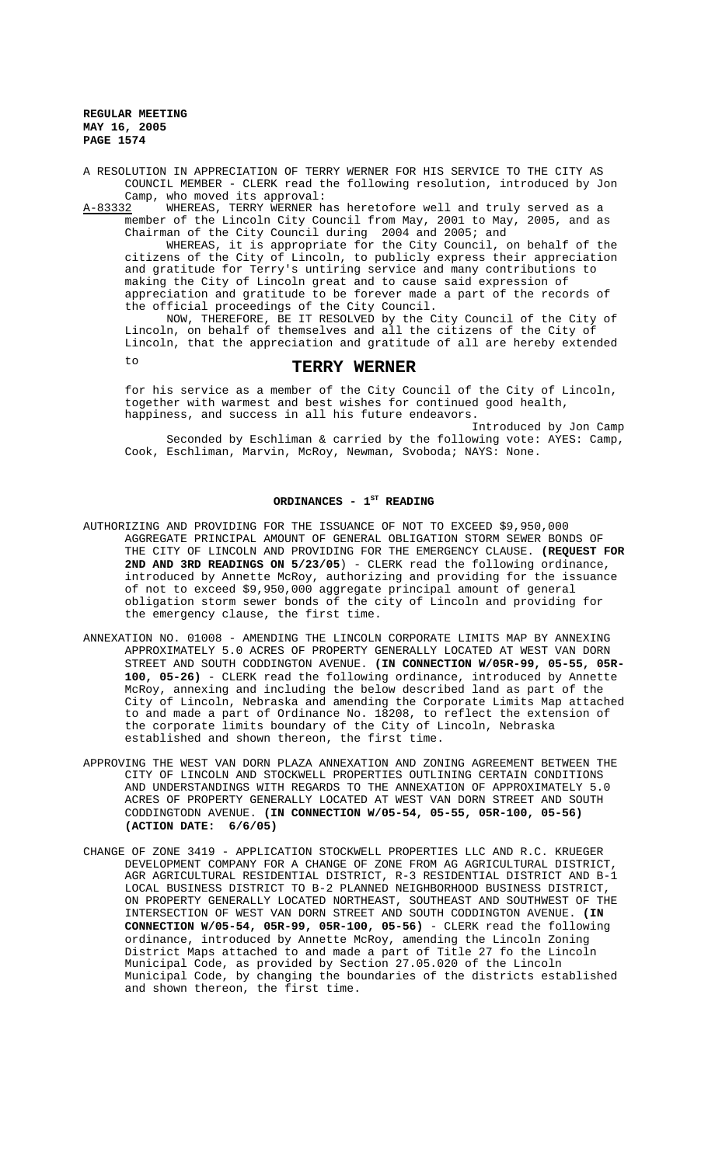A RESOLUTION IN APPRECIATION OF TERRY WERNER FOR HIS SERVICE TO THE CITY AS COUNCIL MEMBER - CLERK read the following resolution, introduced by Jon Camp, who moved its approval:

A-83332 WHEREAS, TERRY WERNER has heretofore well and truly served as a member of the Lincoln City Council from May, 2001 to May, 2005, and as Chairman of the City Council during 2004 and 2005; and

WHEREAS, it is appropriate for the City Council, on behalf of the citizens of the City of Lincoln, to publicly express their appreciation and gratitude for Terry's untiring service and many contributions to making the City of Lincoln great and to cause said expression of appreciation and gratitude to be forever made a part of the records of the official proceedings of the City Council.

NOW, THEREFORE, BE IT RESOLVED by the City Council of the City of Lincoln, on behalf of themselves and all the citizens of the City of Lincoln, that the appreciation and gratitude of all are hereby extended

# to **TERRY WERNER**

for his service as a member of the City Council of the City of Lincoln, together with warmest and best wishes for continued good health, happiness, and success in all his future endeavors.

Introduced by Jon Camp Seconded by Eschliman & carried by the following vote: AYES: Camp, Cook, Eschliman, Marvin, McRoy, Newman, Svoboda; NAYS: None.

#### ORDINANCES - 1<sup>ST</sup> READING

- AUTHORIZING AND PROVIDING FOR THE ISSUANCE OF NOT TO EXCEED \$9,950,000 AGGREGATE PRINCIPAL AMOUNT OF GENERAL OBLIGATION STORM SEWER BONDS OF THE CITY OF LINCOLN AND PROVIDING FOR THE EMERGENCY CLAUSE. **(REQUEST FOR 2ND AND 3RD READINGS ON 5/23/05**) - CLERK read the following ordinance, introduced by Annette McRoy, authorizing and providing for the issuance of not to exceed \$9,950,000 aggregate principal amount of general obligation storm sewer bonds of the city of Lincoln and providing for the emergency clause, the first time.
- ANNEXATION NO. 01008 AMENDING THE LINCOLN CORPORATE LIMITS MAP BY ANNEXING APPROXIMATELY 5.0 ACRES OF PROPERTY GENERALLY LOCATED AT WEST VAN DORN STREET AND SOUTH CODDINGTON AVENUE. **(IN CONNECTION W/05R-99, 05-55, 05R-100, 05-26)** - CLERK read the following ordinance, introduced by Annette McRoy, annexing and including the below described land as part of the City of Lincoln, Nebraska and amending the Corporate Limits Map attached to and made a part of Ordinance No. 18208, to reflect the extension of the corporate limits boundary of the City of Lincoln, Nebraska established and shown thereon, the first time.
- APPROVING THE WEST VAN DORN PLAZA ANNEXATION AND ZONING AGREEMENT BETWEEN THE CITY OF LINCOLN AND STOCKWELL PROPERTIES OUTLINING CERTAIN CONDITIONS AND UNDERSTANDINGS WITH REGARDS TO THE ANNEXATION OF APPROXIMATELY 5.0 ACRES OF PROPERTY GENERALLY LOCATED AT WEST VAN DORN STREET AND SOUTH CODDINGTODN AVENUE. **(IN CONNECTION W/05-54, 05-55, 05R-100, 05-56) (ACTION DATE: 6/6/05)**
- CHANGE OF ZONE 3419 APPLICATION STOCKWELL PROPERTIES LLC AND R.C. KRUEGER DEVELOPMENT COMPANY FOR A CHANGE OF ZONE FROM AG AGRICULTURAL DISTRICT, AGR AGRICULTURAL RESIDENTIAL DISTRICT, R-3 RESIDENTIAL DISTRICT AND B-1 LOCAL BUSINESS DISTRICT TO B-2 PLANNED NEIGHBORHOOD BUSINESS DISTRICT, ON PROPERTY GENERALLY LOCATED NORTHEAST, SOUTHEAST AND SOUTHWEST OF THE INTERSECTION OF WEST VAN DORN STREET AND SOUTH CODDINGTON AVENUE. **(IN CONNECTION W/05-54, 05R-99, 05R-100, 05-56)** - CLERK read the following ordinance, introduced by Annette McRoy, amending the Lincoln Zoning District Maps attached to and made a part of Title 27 fo the Lincoln Municipal Code, as provided by Section 27.05.020 of the Lincoln Municipal Code, by changing the boundaries of the districts established and shown thereon, the first time.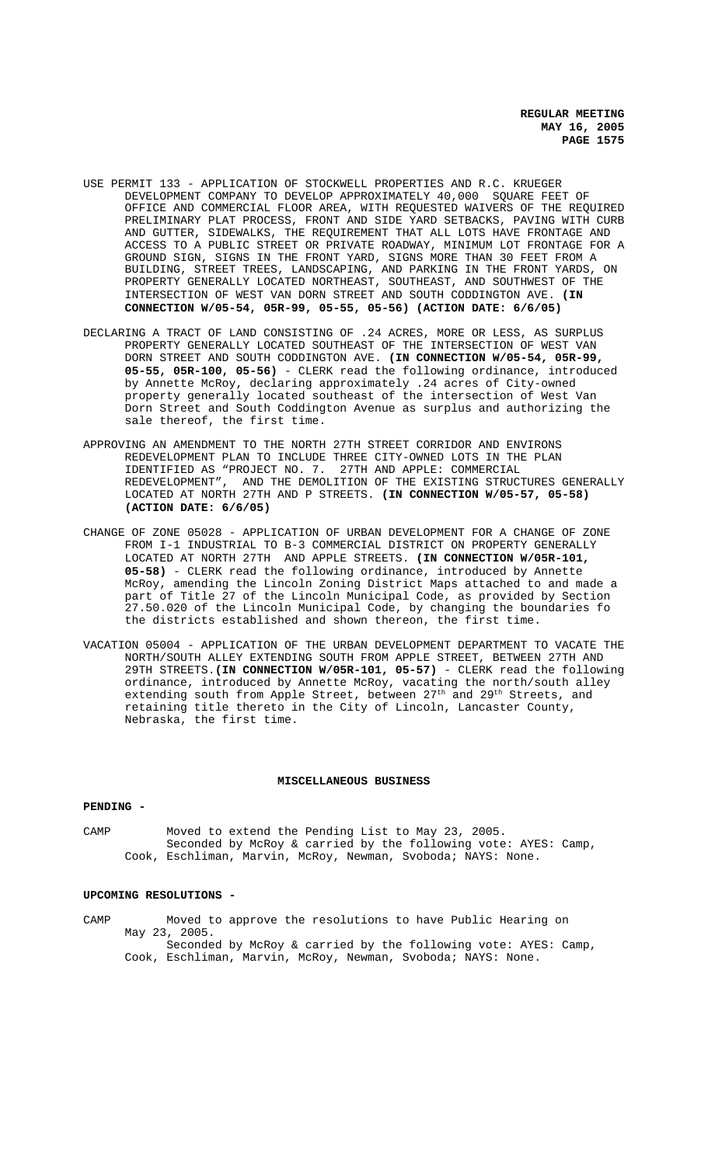- USE PERMIT 133 APPLICATION OF STOCKWELL PROPERTIES AND R.C. KRUEGER DEVELOPMENT COMPANY TO DEVELOP APPROXIMATELY 40,000 SQUARE FEET OF OFFICE AND COMMERCIAL FLOOR AREA, WITH REQUESTED WAIVERS OF THE REQUIRED PRELIMINARY PLAT PROCESS, FRONT AND SIDE YARD SETBACKS, PAVING WITH CURB AND GUTTER, SIDEWALKS, THE REQUIREMENT THAT ALL LOTS HAVE FRONTAGE AND ACCESS TO A PUBLIC STREET OR PRIVATE ROADWAY, MINIMUM LOT FRONTAGE FOR A GROUND SIGN, SIGNS IN THE FRONT YARD, SIGNS MORE THAN 30 FEET FROM A BUILDING, STREET TREES, LANDSCAPING, AND PARKING IN THE FRONT YARDS, ON PROPERTY GENERALLY LOCATED NORTHEAST, SOUTHEAST, AND SOUTHWEST OF THE INTERSECTION OF WEST VAN DORN STREET AND SOUTH CODDINGTON AVE. **(IN CONNECTION W/05-54, 05R-99, 05-55, 05-56) (ACTION DATE: 6/6/05)**
- DECLARING A TRACT OF LAND CONSISTING OF .24 ACRES, MORE OR LESS, AS SURPLUS PROPERTY GENERALLY LOCATED SOUTHEAST OF THE INTERSECTION OF WEST VAN DORN STREET AND SOUTH CODDINGTON AVE. **(IN CONNECTION W/05-54, 05R-99, 05-55, 05R-100, 05-56)** - CLERK read the following ordinance, introduced by Annette McRoy, declaring approximately .24 acres of City-owned property generally located southeast of the intersection of West Van Dorn Street and South Coddington Avenue as surplus and authorizing the sale thereof, the first time.
- APPROVING AN AMENDMENT TO THE NORTH 27TH STREET CORRIDOR AND ENVIRONS REDEVELOPMENT PLAN TO INCLUDE THREE CITY-OWNED LOTS IN THE PLAN IDENTIFIED AS "PROJECT NO. 7. 27TH AND APPLE: COMMERCIAL REDEVELOPMENT", AND THE DEMOLITION OF THE EXISTING STRUCTURES GENERALLY LOCATED AT NORTH 27TH AND P STREETS. **(IN CONNECTION W/05-57, 05-58) (ACTION DATE: 6/6/05)**
- CHANGE OF ZONE 05028 APPLICATION OF URBAN DEVELOPMENT FOR A CHANGE OF ZONE FROM I-1 INDUSTRIAL TO B-3 COMMERCIAL DISTRICT ON PROPERTY GENERALLY LOCATED AT NORTH 27TH AND APPLE STREETS. **(IN CONNECTION W/05R-101, 05-58)** - CLERK read the following ordinance, introduced by Annette McRoy, amending the Lincoln Zoning District Maps attached to and made a part of Title 27 of the Lincoln Municipal Code, as provided by Section 27.50.020 of the Lincoln Municipal Code, by changing the boundaries fo the districts established and shown thereon, the first time.
- VACATION 05004 APPLICATION OF THE URBAN DEVELOPMENT DEPARTMENT TO VACATE THE NORTH/SOUTH ALLEY EXTENDING SOUTH FROM APPLE STREET, BETWEEN 27TH AND 29TH STREETS.**(IN CONNECTION W/05R-101, 05-57)** - CLERK read the following ordinance, introduced by Annette McRoy, vacating the north/south alley extending south from Apple Street, between 27<sup>th</sup> and 29<sup>th</sup> Streets, and retaining title thereto in the City of Lincoln, Lancaster County, Nebraska, the first time.

# **MISCELLANEOUS BUSINESS**

#### **PENDING -**

CAMP Moved to extend the Pending List to May 23, 2005. Seconded by McRoy & carried by the following vote: AYES: Camp, Cook, Eschliman, Marvin, McRoy, Newman, Svoboda; NAYS: None.

#### **UPCOMING RESOLUTIONS -**

CAMP Moved to approve the resolutions to have Public Hearing on May 23, 2005. Seconded by McRoy & carried by the following vote: AYES: Camp, Cook, Eschliman, Marvin, McRoy, Newman, Svoboda; NAYS: None.